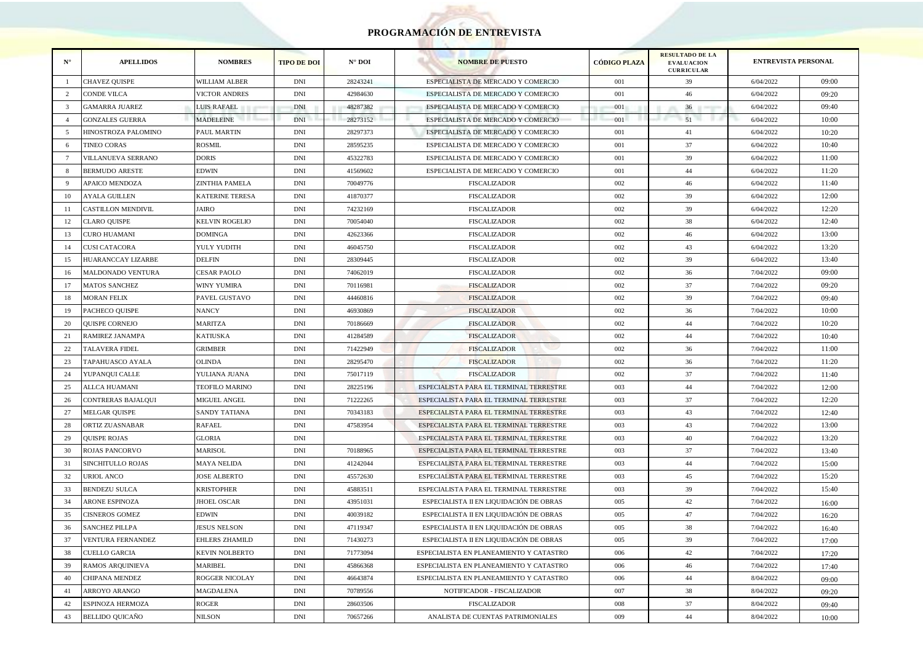## **PROGRAMACIÓN DE ENTREVISTA**

**COLL** 

| $N^{\circ}$    | <b>APELLIDOS</b>          | <b>NOMBRES</b>         | <b>TIPO DE DOI</b> | $N^{\circ}$ DOI | <b>NOMBRE DE PUESTO</b>                 | <b>CÓDIGO PLAZA</b> | <b>RESULTADO DE LA</b><br><b>EVALUACION</b><br><b>CURRICULAR</b> | <b>ENTREVISTA PERSONAL</b> |       |
|----------------|---------------------------|------------------------|--------------------|-----------------|-----------------------------------------|---------------------|------------------------------------------------------------------|----------------------------|-------|
| -1             | <b>CHAVEZ QUISPE</b>      | WILLIAM ALBER          | <b>DNI</b>         | 28243241        | ESPECIALISTA DE MERCADO Y COMERCIO      | 001                 | 39                                                               | 6/04/2022                  | 09:00 |
| 2              | <b>CONDE VILCA</b>        | <b>VICTOR ANDRES</b>   | <b>DNI</b>         | 42984630        | ESPECIALISTA DE MERCADO Y COMERCIO      | 001                 | 46                                                               | 6/04/2022                  | 09:20 |
| 3              | <b>GAMARRA JUAREZ</b>     | LUIS RAFAEL            | <b>DNI</b>         | 48287382        | ESPECIALISTA DE MERCADO Y COMERCIO      | 001                 | 36                                                               | 6/04/2022                  | 09:40 |
| $\overline{A}$ | <b>GONZALES GUERRA</b>    | <b>MADELEINE</b>       | <b>DNI</b>         | 28273152        | ESPECIALISTA DE MERCADO Y COMERCIO      | 001                 | 51                                                               | 6/04/2022                  | 10:00 |
| -5             | HINOSTROZA PALOMINO       | PAUL MARTIN            | <b>DNI</b>         | 28297373        | ESPECIALISTA DE MERCADO Y COMERCIO      | 001                 | 41                                                               | 6/04/2022                  | 10:20 |
| -6             | <b>TINEO CORAS</b>        | ROSMIL                 | <b>DNI</b>         | 28595235        | ESPECIALISTA DE MERCADO Y COMERCIO      | 001                 | 37                                                               | 6/04/2022                  | 10:40 |
| $\overline{7}$ | VILLANUEVA SERRANO        | DORIS                  | <b>DNI</b>         | 45322783        | ESPECIALISTA DE MERCADO Y COMERCIO      | 001                 | 39                                                               | 6/04/2022                  | 11:00 |
| 8              | <b>BERMUDO ARESTE</b>     | EDWIN                  | <b>DNI</b>         | 41569602        | ESPECIALISTA DE MERCADO Y COMERCIO      | 001                 | 44                                                               | 6/04/2022                  | 11:20 |
| $\Omega$       | APAICO MENDOZA            | ZINTHIA PAMELA         | DNI                | 70049776        | FISCALIZADOR                            | 002                 | 46                                                               | 6/04/2022                  | 11:40 |
| 10             | <b>AYALA GUILLEN</b>      | <b>KATERINE TERESA</b> | <b>DNI</b>         | 41870377        | <b>FISCALIZADOR</b>                     | 002                 | 39                                                               | 6/04/2022                  | 12:00 |
| 11             | <b>CASTILLON MENDIVIL</b> | JAIRO                  | <b>DNI</b>         | 74232169        | <b>FISCALIZADOR</b>                     | 002                 | 39                                                               | 6/04/2022                  | 12:20 |
| 12             | <b>CLARO QUISPE</b>       | KELVIN ROGELIO         | <b>DNI</b>         | 70054040        | <b>FISCALIZADOR</b>                     | 002                 | 38                                                               | 6/04/2022                  | 12:40 |
| 13             | CURO HUAMANI              | <b>DOMINGA</b>         | <b>DNI</b>         | 42623366        | <b>FISCALIZADOR</b>                     | 002                 | 46                                                               | 6/04/2022                  | 13:00 |
| 14             | CUSI CATACORA             | YULY YUDITH            | <b>DNI</b>         | 46045750        | <b>FISCALIZADOR</b>                     | 002                 | 43                                                               | 6/04/2022                  | 13:20 |
| 15             | HUARANCCAY LIZARBE        | DELFIN                 | <b>DNI</b>         | 28309445        | FISCALIZADOR                            | 002                 | 39                                                               | 6/04/2022                  | 13:40 |
| 16             | MALDONADO VENTURA         | CESAR PAOLO            | <b>DNI</b>         | 74062019        | <b>FISCALIZADOR</b>                     | 002                 | 36                                                               | 7/04/2022                  | 09:00 |
| 17             | <b>MATOS SANCHEZ</b>      | WINY YUMIRA            | DNI                | 70116981        | <b>FISCALIZADOR</b>                     | 002                 | 37                                                               | 7/04/2022                  | 09:20 |
| 18             | <b>MORAN FELIX</b>        | PAVEL GUSTAVO          | <b>DNI</b>         | 44460816        | <b>FISCALIZADOR</b>                     | 002                 | 39                                                               | 7/04/2022                  | 09:40 |
| 19             | PACHECO QUISPE            | <b>NANCY</b>           | <b>DNI</b>         | 46930869        | <b>FISCALIZADOR</b>                     | 002                 | 36                                                               | 7/04/2022                  | 10:00 |
| 20             | QUISPE CORNEJO            | MARITZA                | DNI                | 70186669        | <b>FISCALIZADOR</b>                     | 002                 | 44                                                               | 7/04/2022                  | 10:20 |
| 21             | RAMIREZ JANAMPA           | KATIUSKA               | <b>DNI</b>         | 41284589        | <b>FISCALIZADOR</b>                     | 002                 | 44                                                               | 7/04/2022                  | 10:40 |
| 22             | TALAVERA FIDEL            | <b>GRIMBER</b>         | <b>DNI</b>         | 71422949        | <b>FISCALIZADOR</b>                     | 002                 | 36                                                               | 7/04/2022                  | 11:00 |
| 23             | TAPAHUASCO AYALA          | OLINDA                 | DNI                | 28295470        | <b>FISCALIZADOR</b>                     | 002                 | 36                                                               | 7/04/2022                  | 11:20 |
| 24             | YUPANQUI CALLE            | YULIANA JUANA          | <b>DNI</b>         | 75017119        | <b>FISCALIZADOR</b>                     | 002                 | 37                                                               | 7/04/2022                  | 11:40 |
| 25             | ALLCA HUAMANI             | TEOFILO MARINO         | <b>DNI</b>         | 28225196        | ESPECIALISTA PARA EL TERMINAL TERRESTRE | 003                 | 44                                                               | 7/04/2022                  | 12:00 |
| 26             | CONTRERAS BAJALQUI        | MIGUEL ANGEL           | <b>DNI</b>         | 71222265        | ESPECIALISTA PARA EL TERMINAL TERRESTRE | 003                 | 37                                                               | 7/04/2022                  | 12:20 |
| 27             | <b>MELGAR QUISPE</b>      | <b>SANDY TATIANA</b>   | <b>DNI</b>         | 70343183        | ESPECIALISTA PARA EL TERMINAL TERRESTRE | 003                 | 43                                                               | 7/04/2022                  | 12:40 |
| 28             | ORTIZ ZUASNABAR           | RAFAEL                 | DNI                | 47583954        | ESPECIALISTA PARA EL TERMINAL TERRESTRE | 003                 | 43                                                               | 7/04/2022                  | 13:00 |
| 29             | <b>QUISPE ROJAS</b>       | <b>GLORIA</b>          | <b>DNI</b>         |                 | ESPECIALISTA PARA EL TERMINAL TERRESTRE | 003                 | 40                                                               | 7/04/2022                  | 13:20 |
| 30             | ROJAS PANCORVO            | <b>MARISOL</b>         | <b>DNI</b>         | 70188965        | ESPECIALISTA PARA EL TERMINAL TERRESTRE | 003                 | 37                                                               | 7/04/2022                  | 13:40 |
| 31             | SINCHITULLO ROJAS         | MAYA NELIDA            | <b>DNI</b>         | 41242044        | ESPECIALISTA PARA EL TERMINAL TERRESTRE | 003                 | 44                                                               | 7/04/2022                  | 15:00 |
| 32             | URIOL ANCO                | <b>JOSE ALBERTO</b>    | <b>DNI</b>         | 45572630        | ESPECIALISTA PARA EL TERMINAL TERRESTRE | 003                 | 45                                                               | 7/04/2022                  | 15:20 |
| 33             | <b>BENDEZU SULCA</b>      | <b>KRISTOPHER</b>      | <b>DNI</b>         | 45883511        | ESPECIALISTA PARA EL TERMINAL TERRESTRE | 003                 | 39                                                               | 7/04/2022                  | 15:40 |
| 34             | <b>ARONE ESPINOZA</b>     | JHOEL OSCAR            | <b>DNI</b>         | 43951031        | ESPECIALISTA II EN LIQUIDACIÓN DE OBRAS | 005                 | 42                                                               | 7/04/2022                  | 16:00 |
| 35             | <b>CISNEROS GOMEZ</b>     | <b>EDWIN</b>           | DNI                | 40039182        | ESPECIALISTA II EN LIQUIDACIÓN DE OBRAS | 005                 | 47                                                               | 7/04/2022                  | 16:20 |
| 36             | <b>SANCHEZ PILLPA</b>     | <b>JESUS NELSON</b>    | <b>DNI</b>         | 47119347        | ESPECIALISTA II EN LIQUIDACIÓN DE OBRAS | 005                 | 38                                                               | 7/04/2022                  | 16:40 |
| 37             | <b>VENTURA FERNANDEZ</b>  | EHLERS ZHAMILD         | <b>DNI</b>         | 71430273        | ESPECIALISTA II EN LIQUIDACIÓN DE OBRAS | 005                 | 39                                                               | 7/04/2022                  | 17:00 |
| 38             | CUELLO GARCIA             | <b>KEVIN NOLBERTO</b>  | <b>DNI</b>         | 71773094        | ESPECIALISTA EN PLANEAMIENTO Y CATASTRO | 006                 | 42                                                               | 7/04/2022                  | 17:20 |
| 39             | RAMOS ARQUINIEVA          | MARIBEL                | <b>DNI</b>         | 45866368        | ESPECIALISTA EN PLANEAMIENTO Y CATASTRO | 006                 | 46                                                               | 7/04/2022                  | 17:40 |
| 40             | CHIPANA MENDEZ            | ROGGER NICOLAY         | <b>DNI</b>         | 46643874        | ESPECIALISTA EN PLANEAMIENTO Y CATASTRO | 006                 | 44                                                               | 8/04/2022                  | 09:00 |
| 41             | ARROYO ARANGO             | MAGDALENA              | <b>DNI</b>         | 70789556        | NOTIFICADOR - FISCALIZADOR              | 007                 | 38                                                               | 8/04/2022                  | 09:20 |
| 42             | ESPINOZA HERMOZA          | ROGER                  | <b>DNI</b>         | 28603506        | <b>FISCALIZADOR</b>                     | 008                 | 37                                                               | 8/04/2022                  | 09:40 |
| 43             | <b>BELLIDO QUICAÑO</b>    | NILSON                 | <b>DNI</b>         | 70657266        | ANALISTA DE CUENTAS PATRIMONIALES       | 009                 | 44                                                               | 8/04/2022                  | 10:00 |